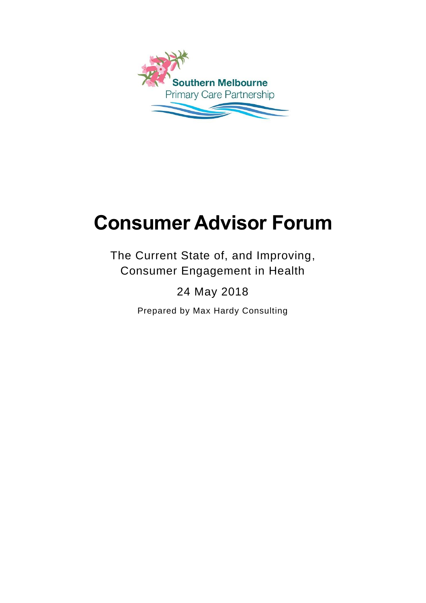

# **Consumer Advisor Forum**

The Current State of, and Improving, Consumer Engagement in Health

## 24 May 2018

Prepared by Max Hardy Consulting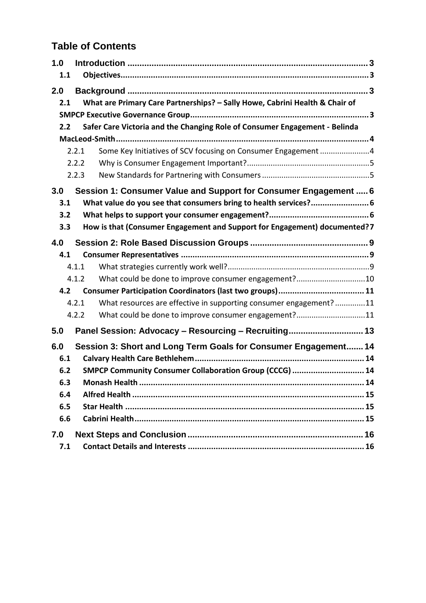## **Table of Contents**

| 1.0 |       |                                                                             |  |  |  |
|-----|-------|-----------------------------------------------------------------------------|--|--|--|
| 1.1 |       |                                                                             |  |  |  |
| 2.0 |       |                                                                             |  |  |  |
| 2.1 |       | What are Primary Care Partnerships? - Sally Howe, Cabrini Health & Chair of |  |  |  |
|     |       |                                                                             |  |  |  |
| 2.2 |       | Safer Care Victoria and the Changing Role of Consumer Engagement - Belinda  |  |  |  |
|     |       |                                                                             |  |  |  |
|     | 2.2.1 | Some Key Initiatives of SCV focusing on Consumer Engagement 4               |  |  |  |
|     | 2.2.2 |                                                                             |  |  |  |
|     | 2.2.3 |                                                                             |  |  |  |
| 3.0 |       | Session 1: Consumer Value and Support for Consumer Engagement  6            |  |  |  |
| 3.1 |       |                                                                             |  |  |  |
| 3.2 |       |                                                                             |  |  |  |
| 3.3 |       | How is that (Consumer Engagement and Support for Engagement) documented?7   |  |  |  |
| 4.0 |       |                                                                             |  |  |  |
| 4.1 |       |                                                                             |  |  |  |
|     | 4.1.1 |                                                                             |  |  |  |
|     | 4.1.2 | What could be done to improve consumer engagement?10                        |  |  |  |
| 4.2 |       |                                                                             |  |  |  |
|     | 4.2.1 | What resources are effective in supporting consumer engagement?11           |  |  |  |
|     | 4.2.2 | What could be done to improve consumer engagement?11                        |  |  |  |
| 5.0 |       | Panel Session: Advocacy - Resourcing - Recruiting 13                        |  |  |  |
| 6.0 |       | Session 3: Short and Long Term Goals for Consumer Engagement 14             |  |  |  |
| 6.1 |       |                                                                             |  |  |  |
| 6.2 |       | SMPCP Community Consumer Collaboration Group (CCCG)  14                     |  |  |  |
| 6.3 |       |                                                                             |  |  |  |
| 6.4 |       |                                                                             |  |  |  |
| 6.5 |       |                                                                             |  |  |  |
| 6.6 |       |                                                                             |  |  |  |
| 7.0 |       |                                                                             |  |  |  |
| 7.1 |       |                                                                             |  |  |  |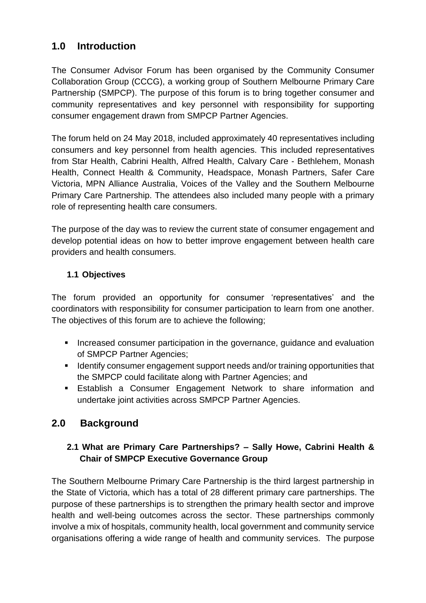## <span id="page-2-0"></span>**1.0 Introduction**

The Consumer Advisor Forum has been organised by the Community Consumer Collaboration Group (CCCG), a working group of Southern Melbourne Primary Care Partnership (SMPCP). The purpose of this forum is to bring together consumer and community representatives and key personnel with responsibility for supporting consumer engagement drawn from SMPCP Partner Agencies.

The forum held on 24 May 2018, included approximately 40 representatives including consumers and key personnel from health agencies. This included representatives from Star Health, Cabrini Health, Alfred Health, Calvary Care - Bethlehem, Monash Health, Connect Health & Community, Headspace, Monash Partners, Safer Care Victoria, MPN Alliance Australia, Voices of the Valley and the Southern Melbourne Primary Care Partnership. The attendees also included many people with a primary role of representing health care consumers.

The purpose of the day was to review the current state of consumer engagement and develop potential ideas on how to better improve engagement between health care providers and health consumers.

#### <span id="page-2-1"></span>**1.1 Objectives**

The forum provided an opportunity for consumer 'representatives' and the coordinators with responsibility for consumer participation to learn from one another. The objectives of this forum are to achieve the following;

- **Increased consumer participation in the governance, guidance and evaluation** of SMPCP Partner Agencies;
- **If Identify consumer engagement support needs and/or training opportunities that** the SMPCP could facilitate along with Partner Agencies; and
- Establish a Consumer Engagement Network to share information and undertake joint activities across SMPCP Partner Agencies.

## **2.0 Background**

#### <span id="page-2-3"></span><span id="page-2-2"></span>**2.1 What are Primary Care Partnerships? – Sally Howe, Cabrini Health & Chair of SMPCP Executive Governance Group**

The Southern Melbourne Primary Care Partnership is the third largest partnership in the State of Victoria, which has a total of 28 different primary care partnerships. The purpose of these partnerships is to strengthen the primary health sector and improve health and well-being outcomes across the sector. These partnerships commonly involve a mix of hospitals, community health, local government and community service organisations offering a wide range of health and community services. The purpose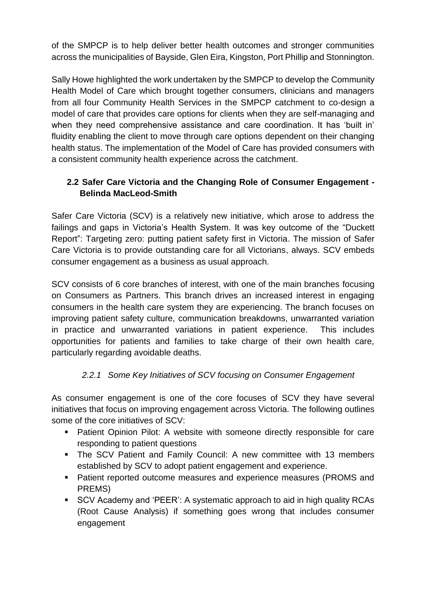of the SMPCP is to help deliver better health outcomes and stronger communities across the municipalities of Bayside, Glen Eira, Kingston, Port Phillip and Stonnington.

Sally Howe highlighted the work undertaken by the SMPCP to develop the Community Health Model of Care which brought together consumers, clinicians and managers from all four Community Health Services in the SMPCP catchment to co-design a model of care that provides care options for clients when they are self-managing and when they need comprehensive assistance and care coordination. It has 'built in' fluidity enabling the client to move through care options dependent on their changing health status. The implementation of the Model of Care has provided consumers with a consistent community health experience across the catchment.

#### <span id="page-3-0"></span>**2.2 Safer Care Victoria and the Changing Role of Consumer Engagement - Belinda MacLeod-Smith**

Safer Care Victoria (SCV) is a relatively new initiative, which arose to address the failings and gaps in Victoria's Health System. It was key outcome of the "Duckett Report": Targeting zero: putting patient safety first in Victoria. The mission of Safer Care Victoria is to provide outstanding care for all Victorians, always. SCV embeds consumer engagement as a business as usual approach.

SCV consists of 6 core branches of interest, with one of the main branches focusing on Consumers as Partners. This branch drives an increased interest in engaging consumers in the health care system they are experiencing. The branch focuses on improving patient safety culture, communication breakdowns, unwarranted variation in practice and unwarranted variations in patient experience. This includes opportunities for patients and families to take charge of their own health care, particularly regarding avoidable deaths.

#### *2.2.1 Some Key Initiatives of SCV focusing on Consumer Engagement*

<span id="page-3-1"></span>As consumer engagement is one of the core focuses of SCV they have several initiatives that focus on improving engagement across Victoria. The following outlines some of the core initiatives of SCV:

- **Patient Opinion Pilot: A website with someone directly responsible for care** responding to patient questions
- **The SCV Patient and Family Council: A new committee with 13 members** established by SCV to adopt patient engagement and experience.
- **Patient reported outcome measures and experience measures (PROMS and** PREMS)
- SCV Academy and 'PEER': A systematic approach to aid in high quality RCAs (Root Cause Analysis) if something goes wrong that includes consumer engagement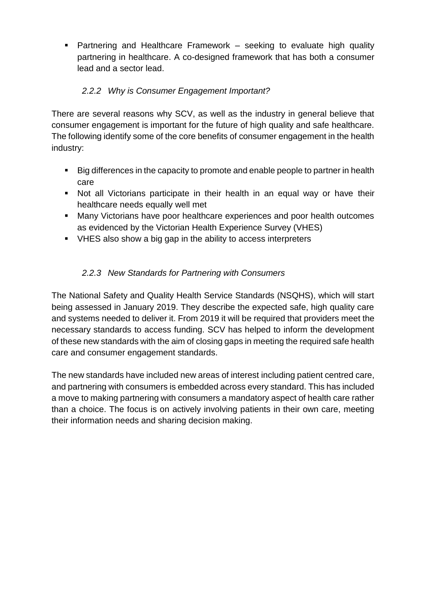Partnering and Healthcare Framework – seeking to evaluate high quality partnering in healthcare. A co-designed framework that has both a consumer lead and a sector lead.

#### *2.2.2 Why is Consumer Engagement Important?*

<span id="page-4-0"></span>There are several reasons why SCV, as well as the industry in general believe that consumer engagement is important for the future of high quality and safe healthcare. The following identify some of the core benefits of consumer engagement in the health industry:

- Big differences in the capacity to promote and enable people to partner in health care
- Not all Victorians participate in their health in an equal way or have their healthcare needs equally well met
- Many Victorians have poor healthcare experiences and poor health outcomes as evidenced by the Victorian Health Experience Survey (VHES)
- VHES also show a big gap in the ability to access interpreters

#### *2.2.3 New Standards for Partnering with Consumers*

<span id="page-4-1"></span>The National Safety and Quality Health Service Standards (NSQHS), which will start being assessed in January 2019. They describe the expected safe, high quality care and systems needed to deliver it. From 2019 it will be required that providers meet the necessary standards to access funding. SCV has helped to inform the development of these new standards with the aim of closing gaps in meeting the required safe health care and consumer engagement standards.

The new standards have included new areas of interest including patient centred care, and partnering with consumers is embedded across every standard. This has included a move to making partnering with consumers a mandatory aspect of health care rather than a choice. The focus is on actively involving patients in their own care, meeting their information needs and sharing decision making.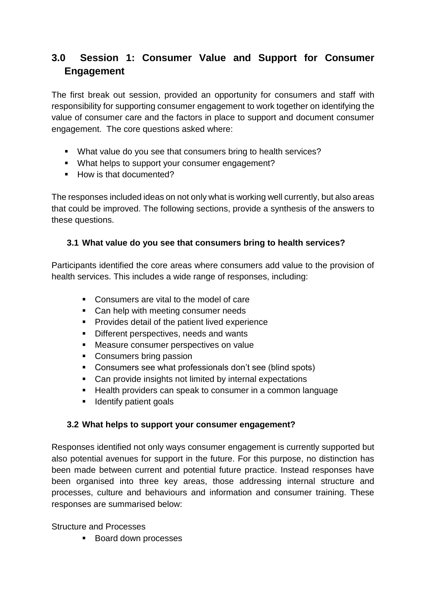## <span id="page-5-0"></span>**3.0 Session 1: Consumer Value and Support for Consumer Engagement**

The first break out session, provided an opportunity for consumers and staff with responsibility for supporting consumer engagement to work together on identifying the value of consumer care and the factors in place to support and document consumer engagement. The core questions asked where:

- What value do you see that consumers bring to health services?
- What helps to support your consumer engagement?
- How is that documented?

The responses included ideas on not only what is working well currently, but also areas that could be improved. The following sections, provide a synthesis of the answers to these questions.

#### <span id="page-5-1"></span>**3.1 What value do you see that consumers bring to health services?**

Participants identified the core areas where consumers add value to the provision of health services. This includes a wide range of responses, including:

- Consumers are vital to the model of care
- Can help with meeting consumer needs
- **Provides detail of the patient lived experience**
- Different perspectives, needs and wants
- **Measure consumer perspectives on value**
- Consumers bring passion
- Consumers see what professionals don't see (blind spots)
- Can provide insights not limited by internal expectations
- Health providers can speak to consumer in a common language
- **If** Identify patient goals

#### <span id="page-5-2"></span>**3.2 What helps to support your consumer engagement?**

Responses identified not only ways consumer engagement is currently supported but also potential avenues for support in the future. For this purpose, no distinction has been made between current and potential future practice. Instead responses have been organised into three key areas, those addressing internal structure and processes, culture and behaviours and information and consumer training. These responses are summarised below:

Structure and Processes

**Board down processes**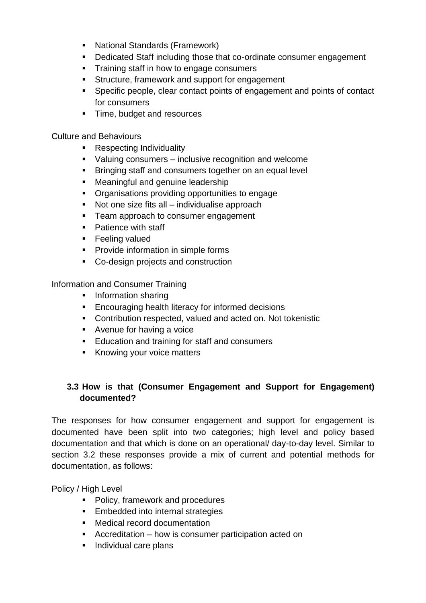- **National Standards (Framework)**
- **Dedicated Staff including those that co-ordinate consumer engagement**
- **Training staff in how to engage consumers**
- **Structure, framework and support for engagement**
- Specific people, clear contact points of engagement and points of contact for consumers
- **Time, budget and resources**

Culture and Behaviours

- **Respecting Individuality**
- Valuing consumers inclusive recognition and welcome
- **Bringing staff and consumers together on an equal level**
- **Meaningful and genuine leadership**
- Organisations providing opportunities to engage
- Not one size fits all individualise approach
- **Fig.** Team approach to consumer engagement
- Patience with staff
- **Feeling valued**
- **Provide information in simple forms**
- Co-design projects and construction

Information and Consumer Training

- **Information sharing**
- **Encouraging health literacy for informed decisions**
- Contribution respected, valued and acted on. Not tokenistic
- **Avenue for having a voice**
- **Education and training for staff and consumers**
- Knowing your voice matters

#### <span id="page-6-0"></span>**3.3 How is that (Consumer Engagement and Support for Engagement) documented?**

The responses for how consumer engagement and support for engagement is documented have been split into two categories; high level and policy based documentation and that which is done on an operational/ day-to-day level. Similar to section 3.2 these responses provide a mix of current and potential methods for documentation, as follows:

Policy / High Level

- Policy, framework and procedures
- **Embedded into internal strategies**
- **Medical record documentation**
- Accreditation how is consumer participation acted on
- **Individual care plans**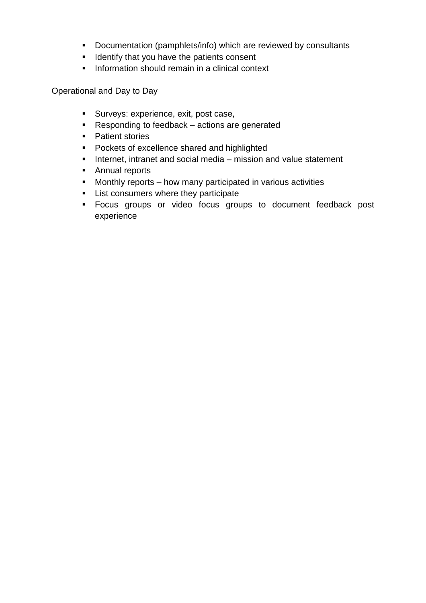- Documentation (pamphlets/info) which are reviewed by consultants
- **If** Identify that you have the patients consent
- **Information should remain in a clinical context**

Operational and Day to Day

- **Surveys: experience, exit, post case,**
- Responding to feedback actions are generated
- Patient stories
- **Pockets of excellence shared and highlighted**
- **Internet, intranet and social media mission and value statement**
- **Annual reports**
- **Monthly reports how many participated in various activities**
- **List consumers where they participate**
- Focus groups or video focus groups to document feedback post experience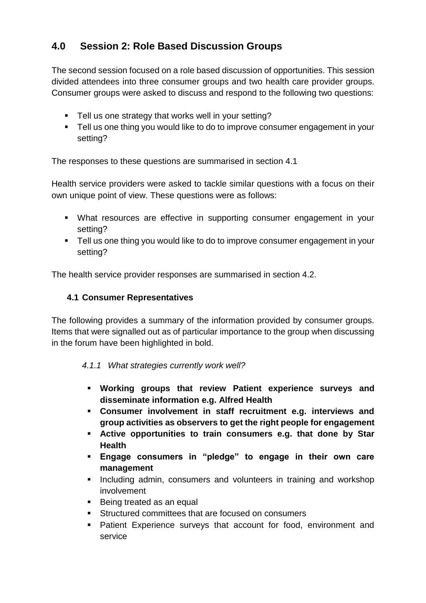## <span id="page-8-0"></span>**4.0 Session 2: Role Based Discussion Groups**

The second session focused on a role based discussion of opportunities. This session divided attendees into three consumer groups and two health care provider groups. Consumer groups were asked to discuss and respond to the following two questions:

- **Tell us one strategy that works well in your setting?**
- **Tell us one thing you would like to do to improve consumer engagement in your** setting?

The responses to these questions are summarised in section 4.1

Health service providers were asked to tackle similar questions with a focus on their own unique point of view. These questions were as follows:

- What resources are effective in supporting consumer engagement in your setting?
- Tell us one thing you would like to do to improve consumer engagement in your setting?

The health service provider responses are summarised in section 4.2.

#### <span id="page-8-1"></span>**4.1 Consumer Representatives**

The following provides a summary of the information provided by consumer groups. Items that were signalled out as of particular importance to the group when discussing in the forum have been highlighted in bold.

#### <span id="page-8-2"></span>*4.1.1 What strategies currently work well?*

- **Working groups that review Patient experience surveys and disseminate information e.g. Alfred Health**
- **Consumer involvement in staff recruitment e.g. interviews and group activities as observers to get the right people for engagement**
- **Active opportunities to train consumers e.g. that done by Star Health**
- **Engage consumers in "pledge" to engage in their own care management**
- **Including admin, consumers and volunteers in training and workshop** involvement
- Being treated as an equal
- Structured committees that are focused on consumers
- Patient Experience surveys that account for food, environment and service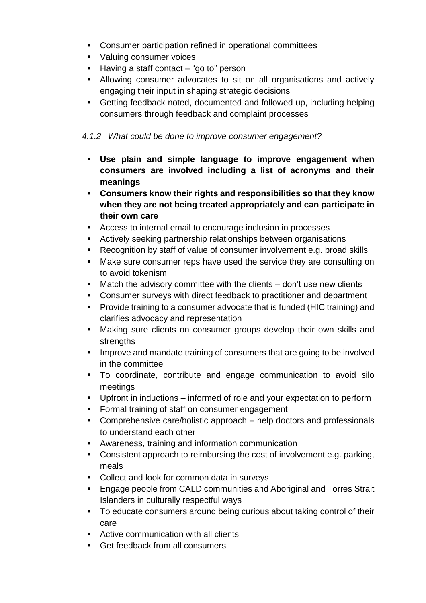- Consumer participation refined in operational committees
- **Valuing consumer voices**
- $\blacksquare$  Having a staff contact "go to" person
- Allowing consumer advocates to sit on all organisations and actively engaging their input in shaping strategic decisions
- Getting feedback noted, documented and followed up, including helping consumers through feedback and complaint processes

#### <span id="page-9-0"></span>*4.1.2 What could be done to improve consumer engagement?*

- **Use plain and simple language to improve engagement when consumers are involved including a list of acronyms and their meanings**
- **Consumers know their rights and responsibilities so that they know when they are not being treated appropriately and can participate in their own care**
- Access to internal email to encourage inclusion in processes
- Actively seeking partnership relationships between organisations
- Recognition by staff of value of consumer involvement e.g. broad skills
- **Make sure consumer reps have used the service they are consulting on** to avoid tokenism
- Match the advisory committee with the clients don't use new clients
- Consumer surveys with direct feedback to practitioner and department
- **Provide training to a consumer advocate that is funded (HIC training) and** clarifies advocacy and representation
- Making sure clients on consumer groups develop their own skills and strengths
- **IMPROVE and mandate training of consumers that are going to be involved** in the committee
- To coordinate, contribute and engage communication to avoid silo meetings
- Upfront in inductions informed of role and your expectation to perform
- **Formal training of staff on consumer engagement**
- Comprehensive care/holistic approach help doctors and professionals to understand each other
- Awareness, training and information communication
- Consistent approach to reimbursing the cost of involvement e.g. parking, meals
- Collect and look for common data in surveys
- **Engage people from CALD communities and Aboriginal and Torres Strait** Islanders in culturally respectful ways
- To educate consumers around being curious about taking control of their care
- **EXECT:** Active communication with all clients
- Get feedback from all consumers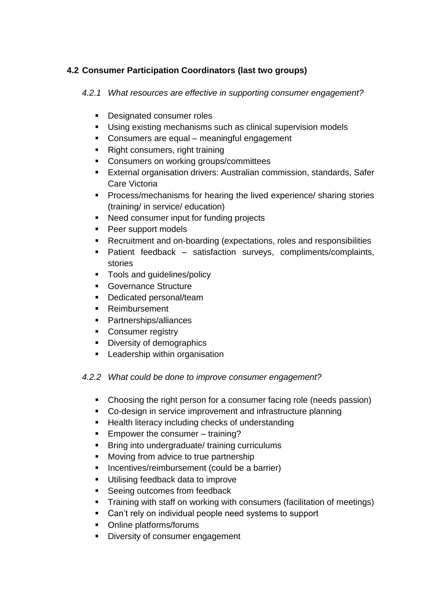#### <span id="page-10-1"></span><span id="page-10-0"></span>**4.2 Consumer Participation Coordinators (last two groups)**

*4.2.1 What resources are effective in supporting consumer engagement?*

- **Designated consumer roles**
- Using existing mechanisms such as clinical supervision models
- Consumers are equal meaningful engagement
- Right consumers, right training
- **Consumers on working groups/committees**
- External organisation drivers: Australian commission, standards, Safer Care Victoria
- **Process/mechanisms for hearing the lived experience/ sharing stories** (training/ in service/ education)
- Need consumer input for funding projects
- Peer support models
- Recruitment and on-boarding (expectations, roles and responsibilities
- Patient feedback satisfaction surveys, compliments/complaints, stories
- **Tools and quidelines/policy**
- **Governance Structure**
- Dedicated personal/team
- **Reimbursement**
- Partnerships/alliances
- Consumer registry
- Diversity of demographics
- **EXEC** Leadership within organisation

#### <span id="page-10-2"></span>*4.2.2 What could be done to improve consumer engagement?*

- Choosing the right person for a consumer facing role (needs passion)
- Co-design in service improvement and infrastructure planning
- **Health literacy including checks of understanding**
- **Empower the consumer training?**
- **Bring into undergraduate/ training curriculums**
- **Moving from advice to true partnership**
- **Incentives/reimbursement (could be a barrier)**
- **Utilising feedback data to improve**
- Seeing outcomes from feedback
- **Training with staff on working with consumers (facilitation of meetings)**
- Can't rely on individual people need systems to support
- Online platforms/forums
- **Diversity of consumer engagement**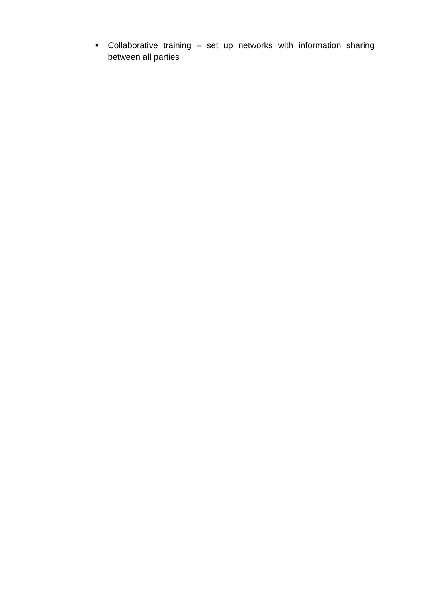Collaborative training – set up networks with information sharing between all parties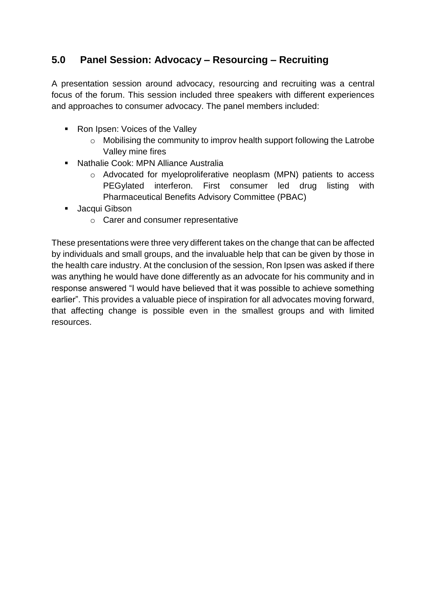## <span id="page-12-0"></span>**5.0 Panel Session: Advocacy – Resourcing – Recruiting**

A presentation session around advocacy, resourcing and recruiting was a central focus of the forum. This session included three speakers with different experiences and approaches to consumer advocacy. The panel members included:

- Ron Ipsen: Voices of the Valley
	- o Mobilising the community to improv health support following the Latrobe Valley mine fires
- Nathalie Cook: MPN Alliance Australia
	- o Advocated for myeloproliferative neoplasm (MPN) patients to access PEGylated interferon. First consumer led drug listing with Pharmaceutical Benefits Advisory Committee (PBAC)
- **Jacqui Gibson** 
	- o Carer and consumer representative

These presentations were three very different takes on the change that can be affected by individuals and small groups, and the invaluable help that can be given by those in the health care industry. At the conclusion of the session, Ron Ipsen was asked if there was anything he would have done differently as an advocate for his community and in response answered "I would have believed that it was possible to achieve something earlier". This provides a valuable piece of inspiration for all advocates moving forward, that affecting change is possible even in the smallest groups and with limited resources.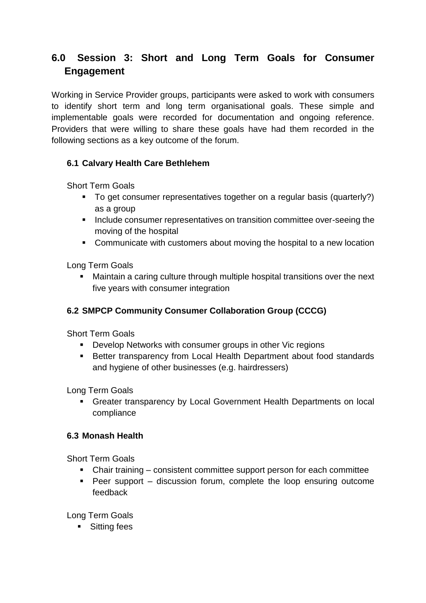## <span id="page-13-0"></span>**6.0 Session 3: Short and Long Term Goals for Consumer Engagement**

Working in Service Provider groups, participants were asked to work with consumers to identify short term and long term organisational goals. These simple and implementable goals were recorded for documentation and ongoing reference. Providers that were willing to share these goals have had them recorded in the following sections as a key outcome of the forum.

#### <span id="page-13-1"></span>**6.1 Calvary Health Care Bethlehem**

Short Term Goals

- To get consumer representatives together on a regular basis (quarterly?) as a group
- **Include consumer representatives on transition committee over-seeing the** moving of the hospital
- Communicate with customers about moving the hospital to a new location

Long Term Goals

 Maintain a caring culture through multiple hospital transitions over the next five years with consumer integration

#### <span id="page-13-2"></span>**6.2 SMPCP Community Consumer Collaboration Group (CCCG)**

Short Term Goals

- **Develop Networks with consumer groups in other Vic regions**
- **Better transparency from Local Health Department about food standards** and hygiene of other businesses (e.g. hairdressers)

Long Term Goals

 Greater transparency by Local Government Health Departments on local compliance

#### <span id="page-13-3"></span>**6.3 Monash Health**

Short Term Goals

- Chair training consistent committee support person for each committee
- Peer support discussion forum, complete the loop ensuring outcome feedback

Long Term Goals

■ Sitting fees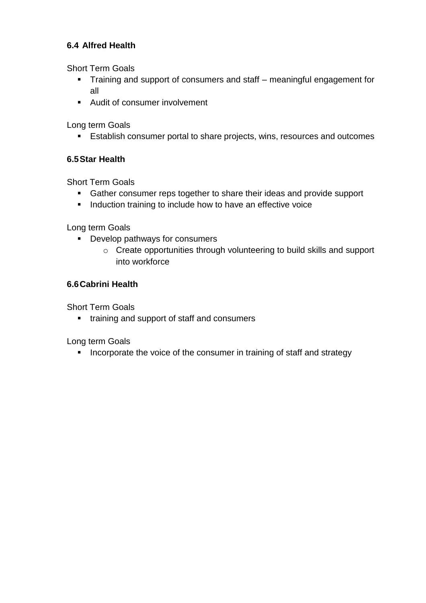#### <span id="page-14-0"></span>**6.4 Alfred Health**

Short Term Goals

- Training and support of consumers and staff meaningful engagement for all
- Audit of consumer involvement

Long term Goals

**Establish consumer portal to share projects, wins, resources and outcomes** 

#### <span id="page-14-1"></span>**6.5Star Health**

Short Term Goals

- Gather consumer reps together to share their ideas and provide support
- **Induction training to include how to have an effective voice**

Long term Goals

- **Develop pathways for consumers** 
	- o Create opportunities through volunteering to build skills and support into workforce

#### <span id="page-14-2"></span>**6.6Cabrini Health**

Short Term Goals

**training and support of staff and consumers** 

Long term Goals

**Incorporate the voice of the consumer in training of staff and strategy**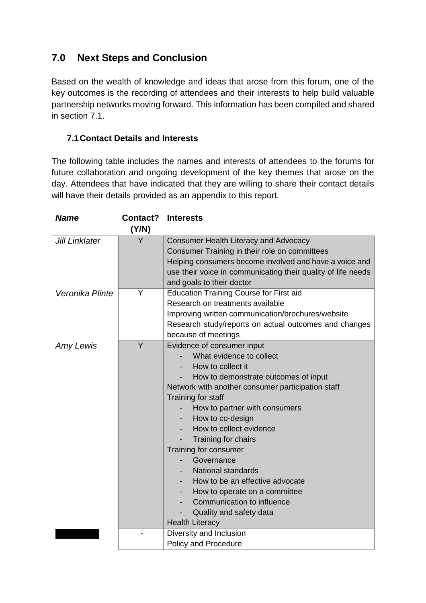## <span id="page-15-0"></span>**7.0 Next Steps and Conclusion**

Based on the wealth of knowledge and ideas that arose from this forum, one of the key outcomes is the recording of attendees and their interests to help build valuable partnership networks moving forward. This information has been compiled and shared in section 7.1.

#### <span id="page-15-1"></span>**7.1Contact Details and Interests**

The following table includes the names and interests of attendees to the forums for future collaboration and ongoing development of the key themes that arose on the day. Attendees that have indicated that they are willing to share their contact details will have their details provided as an appendix to this report.

| <b>Name</b>     | Contact? | <b>Interests</b>                                                                                                                                                                                                                                                                                                                                                                                                                                                                                                                 |
|-----------------|----------|----------------------------------------------------------------------------------------------------------------------------------------------------------------------------------------------------------------------------------------------------------------------------------------------------------------------------------------------------------------------------------------------------------------------------------------------------------------------------------------------------------------------------------|
|                 | (Y/N)    |                                                                                                                                                                                                                                                                                                                                                                                                                                                                                                                                  |
| Jill Linklater  | Y        | <b>Consumer Health Literacy and Advocacy</b><br>Consumer Training in their role on committees<br>Helping consumers become involved and have a voice and<br>use their voice in communicating their quality of life needs<br>and goals to their doctor                                                                                                                                                                                                                                                                             |
| Veronika Plinte | Y        | <b>Education Training Course for First aid</b><br>Research on treatments available<br>Improving written communication/brochures/website<br>Research study/reports on actual outcomes and changes<br>because of meetings                                                                                                                                                                                                                                                                                                          |
| Amy Lewis       | Y        | Evidence of consumer input<br>What evidence to collect<br>How to collect it<br>How to demonstrate outcomes of input<br>Network with another consumer participation staff<br>Training for staff<br>How to partner with consumers<br>How to co-design<br>How to collect evidence<br>Training for chairs<br>Training for consumer<br>Governance<br><b>National standards</b><br>How to be an effective advocate<br>How to operate on a committee<br>Communication to influence<br>Quality and safety data<br><b>Health Literacy</b> |
|                 |          | Diversity and Inclusion<br>Policy and Procedure                                                                                                                                                                                                                                                                                                                                                                                                                                                                                  |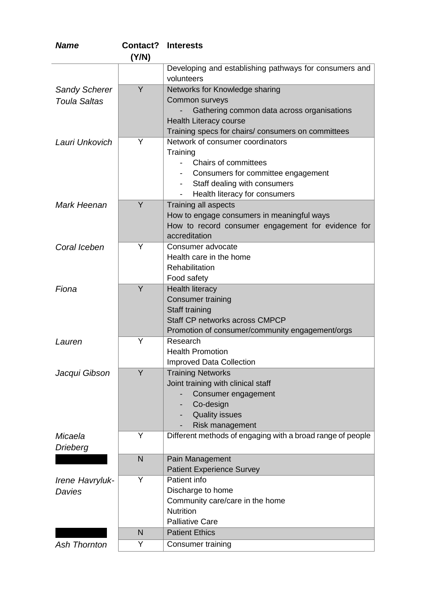| <b>Name</b>          | Contact? | <b>Interests</b>                                            |
|----------------------|----------|-------------------------------------------------------------|
|                      | (Y/N)    |                                                             |
|                      |          | Developing and establishing pathways for consumers and      |
|                      |          | volunteers                                                  |
| <b>Sandy Scherer</b> | Y        | Networks for Knowledge sharing                              |
| <b>Toula Saltas</b>  |          | Common surveys                                              |
|                      |          | Gathering common data across organisations                  |
|                      |          | <b>Health Literacy course</b>                               |
|                      |          | Training specs for chairs/ consumers on committees          |
| Lauri Unkovich       | Y        | Network of consumer coordinators                            |
|                      |          | Training                                                    |
|                      |          | Chairs of committees                                        |
|                      |          | Consumers for committee engagement                          |
|                      |          | Staff dealing with consumers                                |
|                      |          | Health literacy for consumers                               |
| Mark Heenan          | Y        | Training all aspects                                        |
|                      |          | How to engage consumers in meaningful ways                  |
|                      |          | How to record consumer engagement for evidence for          |
|                      |          | accreditation                                               |
| Coral Iceben         | Y        | Consumer advocate                                           |
|                      |          | Health care in the home                                     |
|                      |          | Rehabilitation                                              |
|                      |          | Food safety                                                 |
| Fiona                | Y        | <b>Health literacy</b>                                      |
|                      |          | <b>Consumer training</b>                                    |
|                      |          | Staff training<br>Staff CP networks across CMPCP            |
|                      |          |                                                             |
|                      | Y        | Promotion of consumer/community engagement/orgs             |
| Lauren               |          | Research<br><b>Health Promotion</b>                         |
|                      |          |                                                             |
|                      | Y        | <b>Improved Data Collection</b><br><b>Training Networks</b> |
| Jacqui Gibson        |          | Joint training with clinical staff                          |
|                      |          | Consumer engagement                                         |
|                      |          | Co-design                                                   |
|                      |          | <b>Quality issues</b>                                       |
|                      |          | Risk management                                             |
| Micaela              | Y        | Different methods of engaging with a broad range of people  |
| Drieberg             |          |                                                             |
|                      | N        | Pain Management                                             |
|                      |          | <b>Patient Experience Survey</b>                            |
| Irene Havryluk-      | Y        | Patient info                                                |
| Davies               |          | Discharge to home                                           |
|                      |          | Community care/care in the home                             |
|                      |          | <b>Nutrition</b>                                            |
|                      |          | <b>Palliative Care</b>                                      |
|                      | N        | <b>Patient Ethics</b>                                       |
| <b>Ash Thornton</b>  | Υ        | Consumer training                                           |
|                      |          |                                                             |